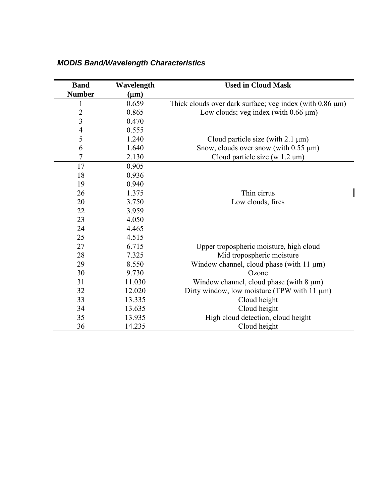| <b>Band</b>              | Wavelength | <b>Used in Cloud Mask</b>                                      |  |  |
|--------------------------|------------|----------------------------------------------------------------|--|--|
| <b>Number</b>            | $(\mu m)$  |                                                                |  |  |
| $\mathbf 1$              | 0.659      | Thick clouds over dark surface; veg index (with $0.86 \mu m$ ) |  |  |
| $\overline{2}$           | 0.865      | Low clouds; veg index (with $0.66 \mu m$ )                     |  |  |
| $\overline{\mathbf{3}}$  | 0.470      |                                                                |  |  |
| $\overline{\mathcal{A}}$ | 0.555      |                                                                |  |  |
| 5                        | 1.240      | Cloud particle size (with $2.1 \mu m$ )                        |  |  |
| 6                        | 1.640      | Snow, clouds over snow (with $0.55 \mu m$ )                    |  |  |
| $\overline{7}$           | 2.130      | Cloud particle size (w 1.2 um)                                 |  |  |
| 17                       | 0.905      |                                                                |  |  |
| 18                       | 0.936      |                                                                |  |  |
| 19                       | 0.940      |                                                                |  |  |
| 26                       | 1.375      | Thin cirrus                                                    |  |  |
| 20                       | 3.750      | Low clouds, fires                                              |  |  |
| 22                       | 3.959      |                                                                |  |  |
| 23                       | 4.050      |                                                                |  |  |
| 24                       | 4.465      |                                                                |  |  |
| 25                       | 4.515      |                                                                |  |  |
| 27                       | 6.715      | Upper tropospheric moisture, high cloud                        |  |  |
| 28                       | 7.325      | Mid tropospheric moisture                                      |  |  |
| 29                       | 8.550      | Window channel, cloud phase (with $11 \mu m$ )                 |  |  |
| 30                       | 9.730      | Ozone                                                          |  |  |
| 31                       | 11.030     | Window channel, cloud phase (with $8 \mu m$ )                  |  |  |
| 32                       | 12.020     | Dirty window, low moisture (TPW with $11 \mu m$ )              |  |  |
| 33                       | 13.335     | Cloud height                                                   |  |  |
| 34                       | 13.635     | Cloud height                                                   |  |  |
| 35                       | 13.935     | High cloud detection, cloud height                             |  |  |
| 36                       | 14.235     | Cloud height                                                   |  |  |

## *MODIS Band/Wavelength Characteristics*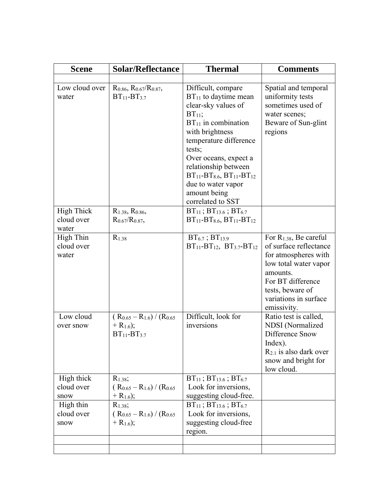| <b>Scene</b>                                                        | <b>Solar/Reflectance</b>                                                                                                                               | <b>Thermal</b>                                                                                                                                                                                                                                                                                                                      | <b>Comments</b>                                                                                                                                                                                            |
|---------------------------------------------------------------------|--------------------------------------------------------------------------------------------------------------------------------------------------------|-------------------------------------------------------------------------------------------------------------------------------------------------------------------------------------------------------------------------------------------------------------------------------------------------------------------------------------|------------------------------------------------------------------------------------------------------------------------------------------------------------------------------------------------------------|
|                                                                     |                                                                                                                                                        |                                                                                                                                                                                                                                                                                                                                     |                                                                                                                                                                                                            |
| Low cloud over<br>water                                             | $R_{0.86}$ , $R_{0.67}/R_{0.87}$ ,<br>$BT_{11} - BT_{3.7}$                                                                                             | Difficult, compare<br>$BT_{11}$ to daytime mean<br>clear-sky values of<br>$BT11$ ;<br>$BT_{11}$ in combination<br>with brightness<br>temperature difference<br>tests;<br>Over oceans, expect a<br>relationship between<br>$BT_{11}$ - $BT_{8.6}$ , $BT_{11}$ - $BT_{12}$<br>due to water vapor<br>amount being<br>correlated to SST | Spatial and temporal<br>uniformity tests<br>sometimes used of<br>water scenes;<br>Beware of Sun-glint<br>regions                                                                                           |
| <b>High Thick</b><br>cloud over<br>water                            | $R_{1.38}$ , $R_{0.86}$ ,<br>$R_{0.67}/R_{0.87}$                                                                                                       | $BT_{11}$ ; $BT_{13.6}$ ; $BT_{6.7}$<br>$BT_{11}$ -BT <sub>8.6</sub> , BT <sub>11</sub> -BT <sub>12</sub>                                                                                                                                                                                                                           |                                                                                                                                                                                                            |
| High Thin<br>cloud over<br>water                                    | $R_{1.38}$                                                                                                                                             | $BT_{6.7}$ ; $BT_{13.9}$<br>$BT_{11}$ -BT <sub>12</sub> , BT <sub>3.7</sub> -BT <sub>12</sub>                                                                                                                                                                                                                                       | For R <sub>1.38</sub> , Be careful<br>of surface reflectance<br>for atmospheres with<br>low total water vapor<br>amounts.<br>For BT difference<br>tests, beware of<br>variations in surface<br>emissivity. |
| Low cloud<br>over snow                                              | $(R_{0.65} - R_{1.6}) / (R_{0.65})$<br>$+ R_{1.6}$ ;<br>$BT_{11} - BT_{3.7}$                                                                           | Difficult, look for<br>inversions                                                                                                                                                                                                                                                                                                   | Ratio test is called,<br><b>NDSI</b> (Normalized<br>Difference Snow<br>Index).<br>$R_{2.1}$ is also dark over<br>snow and bright for<br>low cloud.                                                         |
| High thick<br>cloud over<br>snow<br>High thin<br>cloud over<br>snow | $R_{1.38}$ ;<br>$(R_{0.65} - R_{1.6}) / (R_{0.65})$<br>$+$ R <sub>1.6</sub> );<br>$R_{1.38}$ ;<br>$(R_{0.65} - R_{1.6}) / (R_{0.65})$<br>$+ R_{1.6}$ ; | $BT_{11}$ ; $BT_{13.6}$ ; $BT_{6.7}$<br>Look for inversions,<br>suggesting cloud-free.<br>$BT_{11}$ ; $BT_{13.6}$ ; $BT_{6.7}$<br>Look for inversions,<br>suggesting cloud-free<br>region.                                                                                                                                          |                                                                                                                                                                                                            |
|                                                                     |                                                                                                                                                        |                                                                                                                                                                                                                                                                                                                                     |                                                                                                                                                                                                            |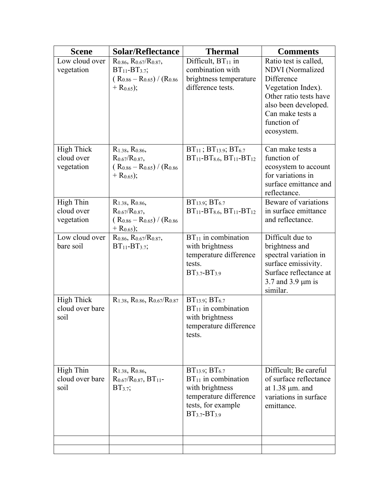| <b>Scene</b>                                  | <b>Solar/Reflectance</b>                                                                                                           | <b>Thermal</b>                                                                                                                                 | <b>Comments</b>                                                                                                                                                                  |
|-----------------------------------------------|------------------------------------------------------------------------------------------------------------------------------------|------------------------------------------------------------------------------------------------------------------------------------------------|----------------------------------------------------------------------------------------------------------------------------------------------------------------------------------|
| Low cloud over<br>vegetation                  | $R_{0.86}$ , $R_{0.67}/R_{0.87}$ ,<br>$BT_{11}$ - $BT_{3.7}$ ;<br>$(R_{0.86} - R_{0.65}) / (R_{0.86})$<br>$+$ R <sub>0.65</sub> ); | Difficult, $BT_{11}$ in<br>combination with<br>brightness temperature<br>difference tests.                                                     | Ratio test is called,<br>NDVI (Normalized<br>Difference<br>Vegetation Index).<br>Other ratio tests have<br>also been developed.<br>Can make tests a<br>function of<br>ecosystem. |
| <b>High Thick</b><br>cloud over<br>vegetation | $R_{1.38}$ , $R_{0.86}$ ,<br>$R_{0.67}/R_{0.87}$<br>$(R_{0.86} - R_{0.65}) / (R_{0.86})$<br>$+$ R <sub>0.65</sub> );               | $BT_{11}$ ; $BT_{13.9}$ ; $BT_{6.7}$<br>$BT_{11}$ -BT <sub>8.6</sub> , BT <sub>11</sub> -BT <sub>12</sub>                                      | Can make tests a<br>function of<br>ecosystem to account<br>for variations in<br>surface emittance and<br>reflectance.                                                            |
| <b>High Thin</b><br>cloud over<br>vegetation  | $R_{1.38}$ , $R_{0.86}$ ,<br>$R_{0.67}/R_{0.87}$<br>$(R_{0.86} - R_{0.65}) / (R_{0.86})$<br>$+ R_{0.65}$ ;                         | $BT_{13.9}$ ; $BT_{6.7}$<br>$BT_{11}$ -BT <sub>8.6</sub> , BT <sub>11</sub> -BT <sub>12</sub>                                                  | Beware of variations<br>in surface emittance<br>and reflectance.                                                                                                                 |
| Low cloud over<br>bare soil                   | $R_{0.86}$ , $R_{0.67}/R_{0.87}$ ,<br>$BT_{11}$ - $BT_{3.7}$ ;                                                                     | $BT11$ in combination<br>with brightness<br>temperature difference<br>tests.<br>$BT_{3.7}-BT_{3.9}$                                            | Difficult due to<br>brightness and<br>spectral variation in<br>surface emissivity.<br>Surface reflectance at<br>3.7 and 3.9 $\mu$ m is<br>similar.                               |
| <b>High Thick</b><br>cloud over bare<br>soil  | $R_{1.38}$ , $R_{0.86}$ , $R_{0.67}/R_{0.87}$                                                                                      | BT <sub>13.9</sub> ; BT <sub>6.7</sub><br>$BT_{11}$ in combination<br>with brightness<br>temperature difference<br>tests.                      |                                                                                                                                                                                  |
| <b>High Thin</b><br>cloud over bare<br>soil   | $R_{1,38}$ , $R_{0,86}$<br>$R_{0.67}/R_{0.87}$ , BT <sub>11</sub> -<br>$BT3.7$ ;                                                   | $BT_{13.9}$ ; $BT_{6.7}$<br>$BT_{11}$ in combination<br>with brightness<br>temperature difference<br>tests, for example<br>$BT_{3.7}-BT_{3.9}$ | Difficult; Be careful<br>of surface reflectance<br>at $1.38 \mu m$ . and<br>variations in surface<br>emittance.                                                                  |
|                                               |                                                                                                                                    |                                                                                                                                                |                                                                                                                                                                                  |